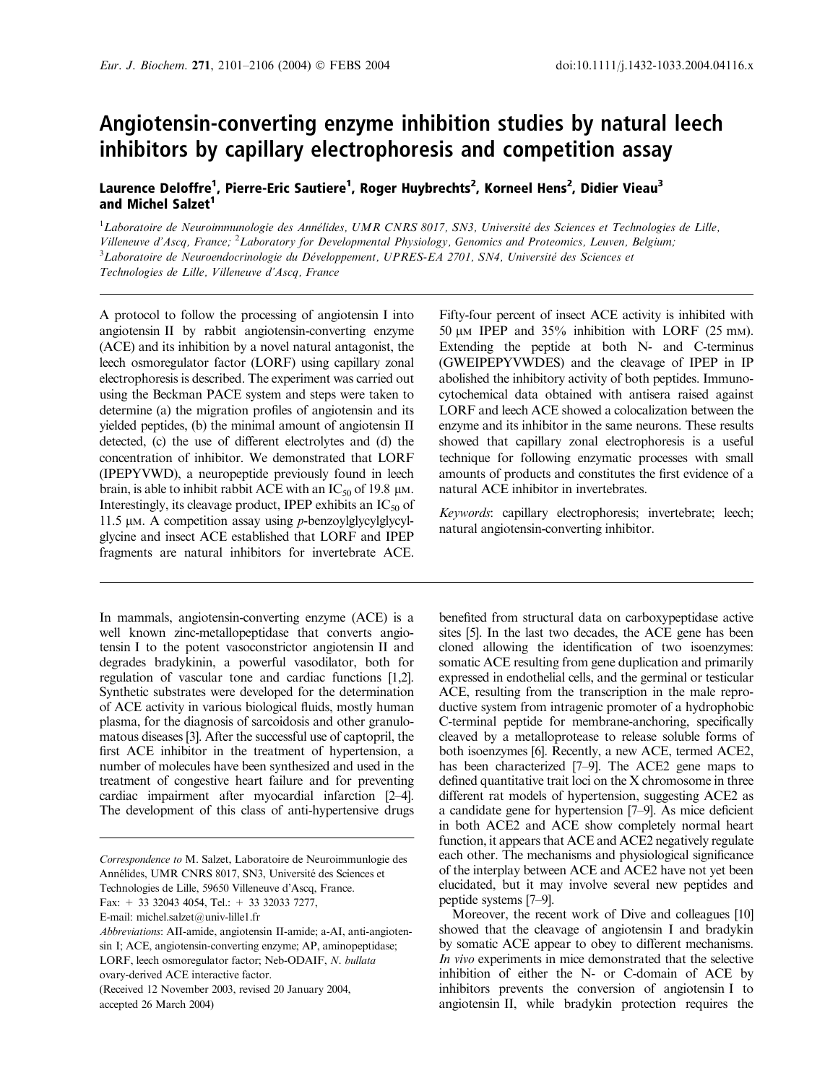# Angiotensin-converting enzyme inhibition studies by natural leech inhibitors by capillary electrophoresis and competition assay

Laurence Deloffre<sup>1</sup>, Pierre-Eric Sautiere<sup>1</sup>, Roger Huybrechts<sup>2</sup>, Korneel Hens<sup>2</sup>, Didier Vieau<sup>3</sup> and Michel Salzet<sup>1</sup>

<sup>1</sup>Laboratoire de Neuroimmunologie des Annélides, UMR CNRS 8017, SN3, Université des Sciences et Technologies de Lille, Villeneuve d'Ascq, France; <sup>2</sup>Laboratory for Developmental Physiology, Genomics and Proteomics, Leuven, Belgium; <sup>3</sup>Laboratoire de Neuroendocrinologie du Développement, UPRES-EA 2701, SN4, Université des Sciences et Technologies de Lille, Villeneuve d'Ascq, France

A protocol to follow the processing of angiotensin I into angiotensin II by rabbit angiotensin-converting enzyme (ACE) and its inhibition by a novel natural antagonist, the leech osmoregulator factor (LORF) using capillary zonal electrophoresis is described. The experiment was carried out using the Beckman PACE system and steps were taken to determine (a) the migration profiles of angiotensin and its yielded peptides, (b) the minimal amount of angiotensin II detected, (c) the use of different electrolytes and (d) the concentration of inhibitor. We demonstrated that LORF (IPEPYVWD), a neuropeptide previously found in leech brain, is able to inhibit rabbit ACE with an  $IC_{50}$  of 19.8  $\mu$ M. Interestingly, its cleavage product, IPEP exhibits an  $IC_{50}$  of 11.5  $\mu$ M. A competition assay using *p*-benzoylglycylglycylglycine and insect ACE established that LORF and IPEP fragments are natural inhibitors for invertebrate ACE.

In mammals, angiotensin-converting enzyme (ACE) is a well known zinc-metallopeptidase that converts angiotensin I to the potent vasoconstrictor angiotensin II and degrades bradykinin, a powerful vasodilator, both for regulation of vascular tone and cardiac functions [1,2]. Synthetic substrates were developed for the determination of ACE activity in various biological fluids, mostly human plasma, for the diagnosis of sarcoidosis and other granulomatous diseases [3]. After the successful use of captopril, the first ACE inhibitor in the treatment of hypertension, a number of molecules have been synthesized and used in the treatment of congestive heart failure and for preventing cardiac impairment after myocardial infarction [2–4]. The development of this class of anti-hypertensive drugs

Technologies de Lille, 59650 Villeneuve d'Ascq, France.

Fax:  $+$  33 32043 4054, Tel.:  $+$  33 32033 7277,

E-mail: michel.salzet@univ-lille1.fr

Fifty-four percent of insect ACE activity is inhibited with 50  $\mu$ M IPEP and 35% inhibition with LORF (25 mm). Extending the peptide at both N- and C-terminus (GWEIPEPYVWDES) and the cleavage of IPEP in IP abolished the inhibitory activity of both peptides. Immunocytochemical data obtained with antisera raised against LORF and leech ACE showed a colocalization between the enzyme and its inhibitor in the same neurons. These results showed that capillary zonal electrophoresis is a useful technique for following enzymatic processes with small amounts of products and constitutes the first evidence of a natural ACE inhibitor in invertebrates.

Keywords: capillary electrophoresis; invertebrate; leech; natural angiotensin-converting inhibitor.

benefited from structural data on carboxypeptidase active sites [5]. In the last two decades, the ACE gene has been cloned allowing the identification of two isoenzymes: somatic ACE resulting from gene duplication and primarily expressed in endothelial cells, and the germinal or testicular ACE, resulting from the transcription in the male reproductive system from intragenic promoter of a hydrophobic C-terminal peptide for membrane-anchoring, specifically cleaved by a metalloprotease to release soluble forms of both isoenzymes [6]. Recently, a new ACE, termed ACE2, has been characterized [7–9]. The ACE2 gene maps to defined quantitative trait loci on the X chromosome in three different rat models of hypertension, suggesting ACE2 as a candidate gene for hypertension [7–9]. As mice deficient in both ACE2 and ACE show completely normal heart function, it appears that ACE and ACE2 negatively regulate each other. The mechanisms and physiological significance of the interplay between ACE and ACE2 have not yet been elucidated, but it may involve several new peptides and peptide systems [7–9].

Moreover, the recent work of Dive and colleagues [10] showed that the cleavage of angiotensin I and bradykin by somatic ACE appear to obey to different mechanisms. In vivo experiments in mice demonstrated that the selective inhibition of either the N- or C-domain of ACE by inhibitors prevents the conversion of angiotensin I to angiotensin II, while bradykin protection requires the

Correspondence to M. Salzet, Laboratoire de Neuroimmunlogie des Annélides, UMR CNRS 8017, SN3, Université des Sciences et

Abbreviations: AII-amide, angiotensin II-amide; a-AI, anti-angiotensin I; ACE, angiotensin-converting enzyme; AP, aminopeptidase; LORF, leech osmoregulator factor; Neb-ODAIF, N. bullata ovary-derived ACE interactive factor.

<sup>(</sup>Received 12 November 2003, revised 20 January 2004, accepted 26 March 2004)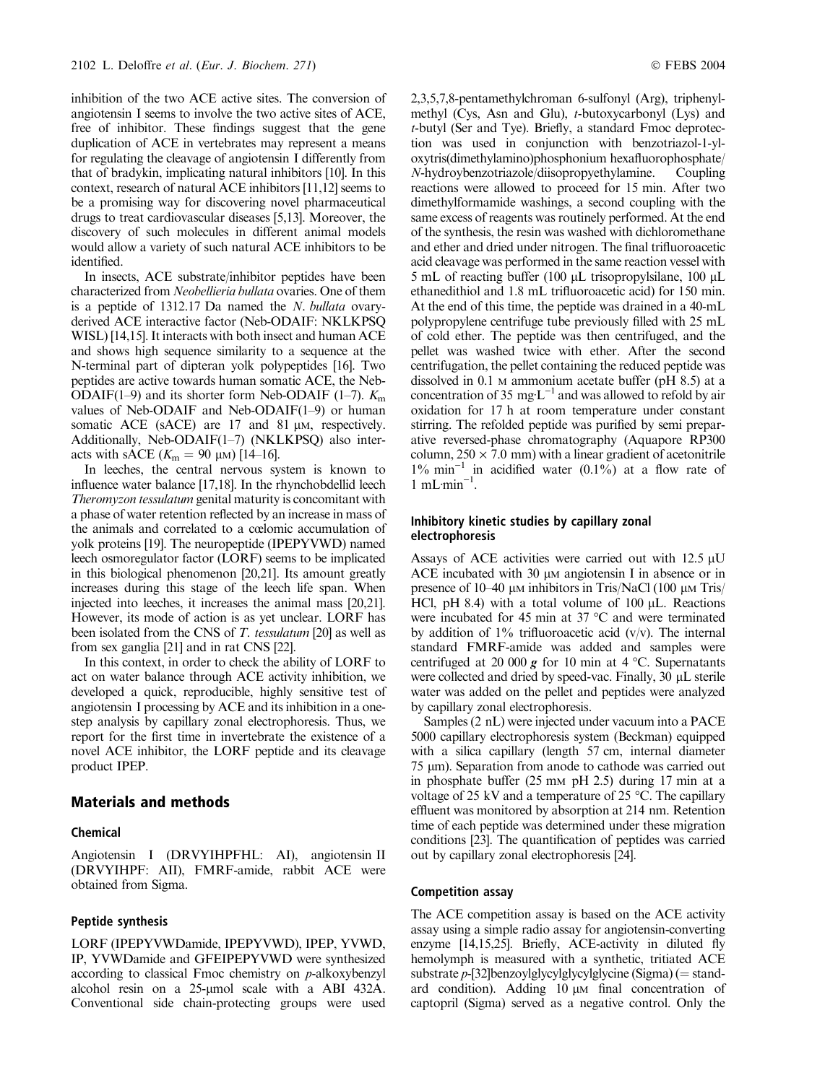inhibition of the two ACE active sites. The conversion of angiotensin I seems to involve the two active sites of ACE, free of inhibitor. These findings suggest that the gene duplication of ACE in vertebrates may represent a means for regulating the cleavage of angiotensin I differently from that of bradykin, implicating natural inhibitors [10]. In this context, research of natural ACE inhibitors [11,12] seems to be a promising way for discovering novel pharmaceutical drugs to treat cardiovascular diseases [5,13]. Moreover, the discovery of such molecules in different animal models would allow a variety of such natural ACE inhibitors to be identified.

In insects, ACE substrate/inhibitor peptides have been characterized from Neobellieria bullata ovaries. One of them is a peptide of 1312.17 Da named the N. bullata ovaryderived ACE interactive factor (Neb-ODAIF: NKLKPSQ WISL) [14,15]. It interacts with both insect and human ACE and shows high sequence similarity to a sequence at the N-terminal part of dipteran yolk polypeptides [16]. Two peptides are active towards human somatic ACE, the Neb-ODAIF(1–9) and its shorter form Neb-ODAIF (1–7).  $K<sub>m</sub>$ values of Neb-ODAIF and Neb-ODAIF(1–9) or human somatic ACE (sACE) are  $17$  and  $81 \mu$ M, respectively. Additionally, Neb-ODAIF(1–7) (NKLKPSQ) also interacts with sACE  $(K_m = 90 \mu)$  [14–16].

In leeches, the central nervous system is known to influence water balance [17,18]. In the rhynchobdellid leech Theromyzon tessulatum genital maturity is concomitant with a phase of water retention reflected by an increase in mass of the animals and correlated to a cœlomic accumulation of yolk proteins [19]. The neuropeptide (IPEPYVWD) named leech osmoregulator factor (LORF) seems to be implicated in this biological phenomenon [20,21]. Its amount greatly increases during this stage of the leech life span. When injected into leeches, it increases the animal mass [20,21]. However, its mode of action is as yet unclear. LORF has been isolated from the CNS of T. tessulatum [20] as well as from sex ganglia [21] and in rat CNS [22].

In this context, in order to check the ability of LORF to act on water balance through ACE activity inhibition, we developed a quick, reproducible, highly sensitive test of angiotensin I processing by ACE and its inhibition in a onestep analysis by capillary zonal electrophoresis. Thus, we report for the first time in invertebrate the existence of a novel ACE inhibitor, the LORF peptide and its cleavage product IPEP.

## Materials and methods

#### Chemical

Angiotensin I (DRVYIHPFHL: AI), angiotensin II (DRVYIHPF: AII), FMRF-amide, rabbit ACE were obtained from Sigma.

#### Peptide synthesis

LORF (IPEPYVWDamide, IPEPYVWD), IPEP, YVWD, IP, YVWDamide and GFEIPEPYVWD were synthesized according to classical Fmoc chemistry on p-alkoxybenzyl alcohol resin on a 25-umol scale with a ABI 432A. Conventional side chain-protecting groups were used

2,3,5,7,8-pentamethylchroman 6-sulfonyl (Arg), triphenylmethyl (Cys, Asn and Glu), t-butoxycarbonyl (Lys) and t-butyl (Ser and Tye). Briefly, a standard Fmoc deprotection was used in conjunction with benzotriazol-1-yloxytris(dimethylamino)phosphonium hexafluorophosphate/ N-hydroybenzotriazole/diisopropyethylamine. Coupling reactions were allowed to proceed for 15 min. After two dimethylformamide washings, a second coupling with the same excess of reagents was routinely performed. At the end of the synthesis, the resin was washed with dichloromethane and ether and dried under nitrogen. The final trifluoroacetic acid cleavage was performed in the same reaction vessel with 5 mL of reacting buffer (100  $\mu$ L trisopropylsilane, 100  $\mu$ L ethanedithiol and 1.8 mL trifluoroacetic acid) for 150 min. At the end of this time, the peptide was drained in a 40-mL polypropylene centrifuge tube previously filled with 25 mL of cold ether. The peptide was then centrifuged, and the pellet was washed twice with ether. After the second centrifugation, the pellet containing the reduced peptide was dissolved in 0.1 M ammonium acetate buffer (pH 8.5) at a concentration of 35 mg  $L^{-1}$  and was allowed to refold by air oxidation for 17 h at room temperature under constant stirring. The refolded peptide was purified by semi preparative reversed-phase chromatography (Aquapore RP300 column,  $250 \times 7.0$  mm) with a linear gradient of acetonitrile  $1\%$  min<sup>-1</sup> in acidified water  $(0.1\%)$  at a flow rate of  $1 \text{ mL-min}^{-1}$ .

## Inhibitory kinetic studies by capillary zonal electrophoresis

Assays of ACE activities were carried out with  $12.5 \mu U$ ACE incubated with  $30 \mu$ M angiotensin I in absence or in presence of  $10-40 \mu$ M inhibitors in Tris/NaCl (100  $\mu$ M Tris/ HCl, pH 8.4) with a total volume of  $100 \mu L$ . Reactions were incubated for 45 min at  $37^{\circ}$ C and were terminated by addition of  $1\%$  trifluoroacetic acid (v/v). The internal standard FMRF-amide was added and samples were centrifuged at 20 000 g for 10 min at 4 °C. Supernatants were collected and dried by speed-vac. Finally, 30 µL sterile water was added on the pellet and peptides were analyzed by capillary zonal electrophoresis.

Samples (2 nL) were injected under vacuum into a PACE 5000 capillary electrophoresis system (Beckman) equipped with a silica capillary (length 57 cm, internal diameter 75 µm). Separation from anode to cathode was carried out in phosphate buffer (25 mM pH 2.5) during 17 min at a voltage of 25 kV and a temperature of 25  $\degree$ C. The capillary effluent was monitored by absorption at 214 nm. Retention time of each peptide was determined under these migration conditions [23]. The quantification of peptides was carried out by capillary zonal electrophoresis [24].

## Competition assay

The ACE competition assay is based on the ACE activity assay using a simple radio assay for angiotensin-converting enzyme [14,15,25]. Briefly, ACE-activity in diluted fly hemolymph is measured with a synthetic, tritiated ACE substrate  $p$ -[32]benzoylglycylglycylglycine (Sigma) ( $=$  standard condition). Adding  $10 \mu$ M final concentration of captopril (Sigma) served as a negative control. Only the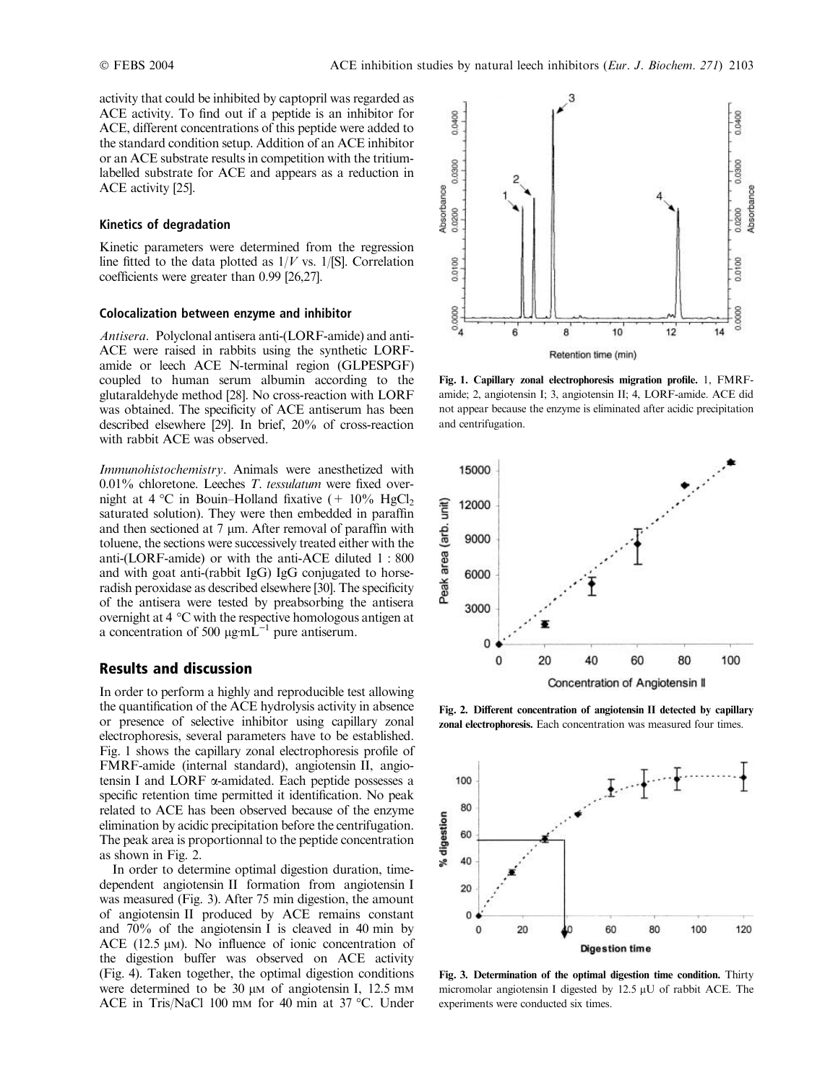activity that could be inhibited by captopril was regarded as ACE activity. To find out if a peptide is an inhibitor for ACE, different concentrations of this peptide were added to the standard condition setup. Addition of an ACE inhibitor or an ACE substrate results in competition with the tritiumlabelled substrate for ACE and appears as a reduction in ACE activity [25].

## Kinetics of degradation

Kinetic parameters were determined from the regression line fitted to the data plotted as  $1/V$  vs.  $1/[S]$ . Correlation coefficients were greater than 0.99 [26,27].

#### Colocalization between enzyme and inhibitor

Antisera. Polyclonal antisera anti-(LORF-amide) and anti-ACE were raised in rabbits using the synthetic LORFamide or leech ACE N-terminal region (GLPESPGF) coupled to human serum albumin according to the glutaraldehyde method [28]. No cross-reaction with LORF was obtained. The specificity of ACE antiserum has been described elsewhere [29]. In brief, 20% of cross-reaction with rabbit ACE was observed.

Immunohistochemistry. Animals were anesthetized with  $0.01\%$  chloretone. Leeches *T. tessulatum* were fixed overnight at 4 °C in Bouin–Holland fixative  $(+ 10\% \text{ HgCl}_{2})$ saturated solution). They were then embedded in paraffin and then sectioned at  $7 \mu m$ . After removal of paraffin with toluene, the sections were successively treated either with the anti-(LORF-amide) or with the anti-ACE diluted 1 : 800 and with goat anti-(rabbit IgG) IgG conjugated to horseradish peroxidase as described elsewhere [30]. The specificity of the antisera were tested by preabsorbing the antisera overnight at  $4^{\circ}$ C with the respective homologous antigen at a concentration of 500  $\mu$ g·mL<sup>-1</sup> pure antiserum.

# Results and discussion

In order to perform a highly and reproducible test allowing the quantification of the ACE hydrolysis activity in absence or presence of selective inhibitor using capillary zonal electrophoresis, several parameters have to be established. Fig. 1 shows the capillary zonal electrophoresis profile of FMRF-amide (internal standard), angiotensin II, angiotensin I and LORF  $\alpha$ -amidated. Each peptide possesses a specific retention time permitted it identification. No peak related to ACE has been observed because of the enzyme elimination by acidic precipitation before the centrifugation. The peak area is proportionnal to the peptide concentration as shown in Fig. 2.

In order to determine optimal digestion duration, timedependent angiotensin II formation from angiotensin I was measured (Fig. 3). After 75 min digestion, the amount of angiotensin II produced by ACE remains constant and 70% of the angiotensin I is cleaved in 40 min by ACE (12.5  $\mu$ M). No influence of ionic concentration of the digestion buffer was observed on ACE activity (Fig. 4). Taken together, the optimal digestion conditions were determined to be  $30 \mu$ M of angiotensin I, 12.5 mM ACE in Tris/NaCl 100 mm for 40 min at 37 °C. Under



Fig. 1. Capillary zonal electrophoresis migration profile. 1, FMRFamide; 2, angiotensin I; 3, angiotensin II; 4, LORF-amide. ACE did not appear because the enzyme is eliminated after acidic precipitation and centrifugation.



Fig. 2. Different concentration of angiotensin II detected by capillary zonal electrophoresis. Each concentration was measured four times.



Fig. 3. Determination of the optimal digestion time condition. Thirty micromolar angiotensin I digested by 12.5 uU of rabbit ACE. The experiments were conducted six times.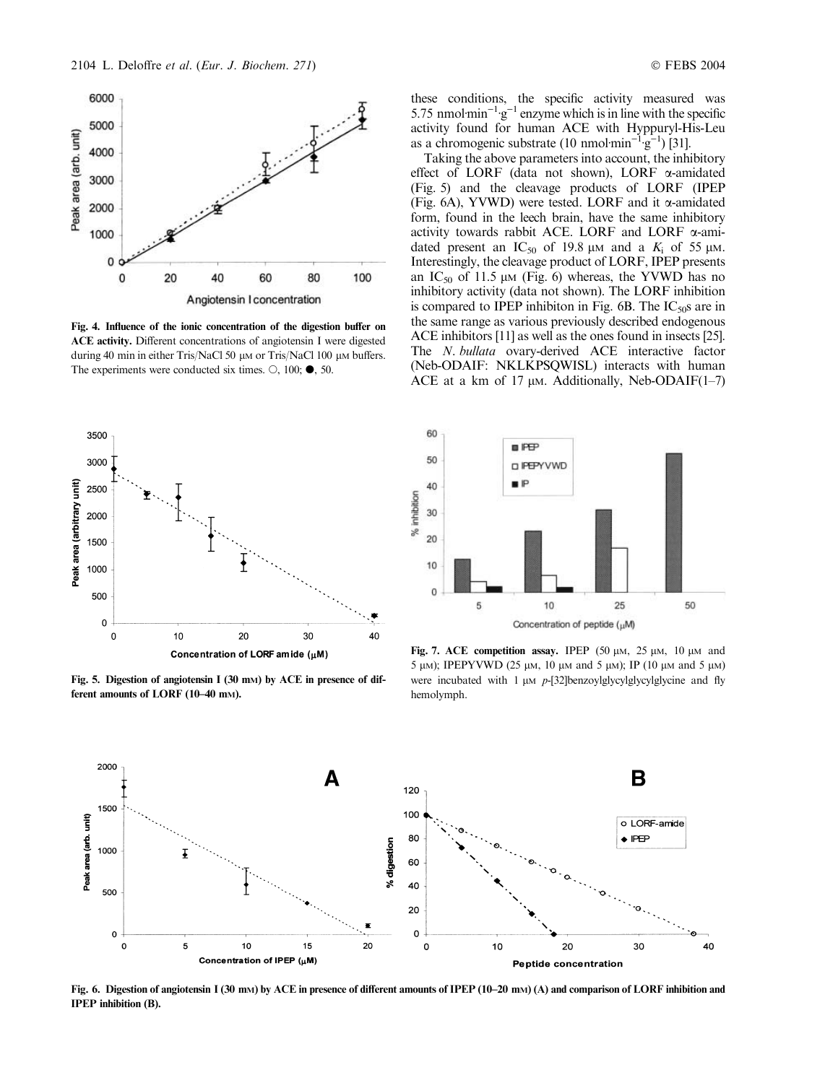

Fig. 4. Influence of the ionic concentration of the digestion buffer on ACE activity. Different concentrations of angiotensin I were digested during 40 min in either Tris/NaCl 50 μM or Tris/NaCl 100 μM buffers. The experiments were conducted six times.  $\circ$ , 100;  $\bullet$ , 50.



Fig. 5. Digestion of angiotensin I (30 mM) by ACE in presence of different amounts of LORF (10–40 mM).

these conditions, the specific activity measured was 5.75 nmol $\text{min}^{-1} \text{g}^{-1}$  enzyme which is in line with the specific activity found for human ACE with Hyppuryl-His-Leu as a chromogenic substrate  $(10 \text{ nmol·min}^{-1} \text{g}^{-1})$  [31].

Taking the above parameters into account, the inhibitory effect of LORF (data not shown), LORF  $\alpha$ -amidated (Fig. 5) and the cleavage products of LORF (IPEP (Fig. 6A), YVWD) were tested. LORF and it  $\alpha$ -amidated form, found in the leech brain, have the same inhibitory activity towards rabbit ACE. LORF and LORF a-amidated present an  $IC_{50}$  of 19.8  $\mu$ m and a  $K_i$  of 55  $\mu$ m. Interestingly, the cleavage product of LORF, IPEP presents an  $IC_{50}$  of 11.5  $\mu$ M (Fig. 6) whereas, the YVWD has no inhibitory activity (data not shown). The LORF inhibition is compared to IPEP inhibiton in Fig.  $6B$ . The IC<sub>50</sub>s are in the same range as various previously described endogenous ACE inhibitors [11] as well as the ones found in insects [25]. The *N. bullata* ovary-derived ACE interactive factor (Neb-ODAIF: NKLKPSQWISL) interacts with human ACE at a km of 17  $\mu$ m. Additionally, Neb-ODAIF(1–7)



Fig. 7. ACE competition assay. IPEP  $(50 \mu M, 25 \mu M, 10 \mu M)$  and 5 μm); IPEPYVWD (25 μm, 10 μm and 5 μm); IP (10 μm and 5 μm) were incubated with 1  $\mu$ M p-[32]benzoylglycylglycylglycine and fly hemolymph.



Fig. 6. Digestion of angiotensin I (30 mM) by ACE in presence of different amounts of IPEP (10–20 mM) (A) and comparison of LORF inhibition and IPEP inhibition (B).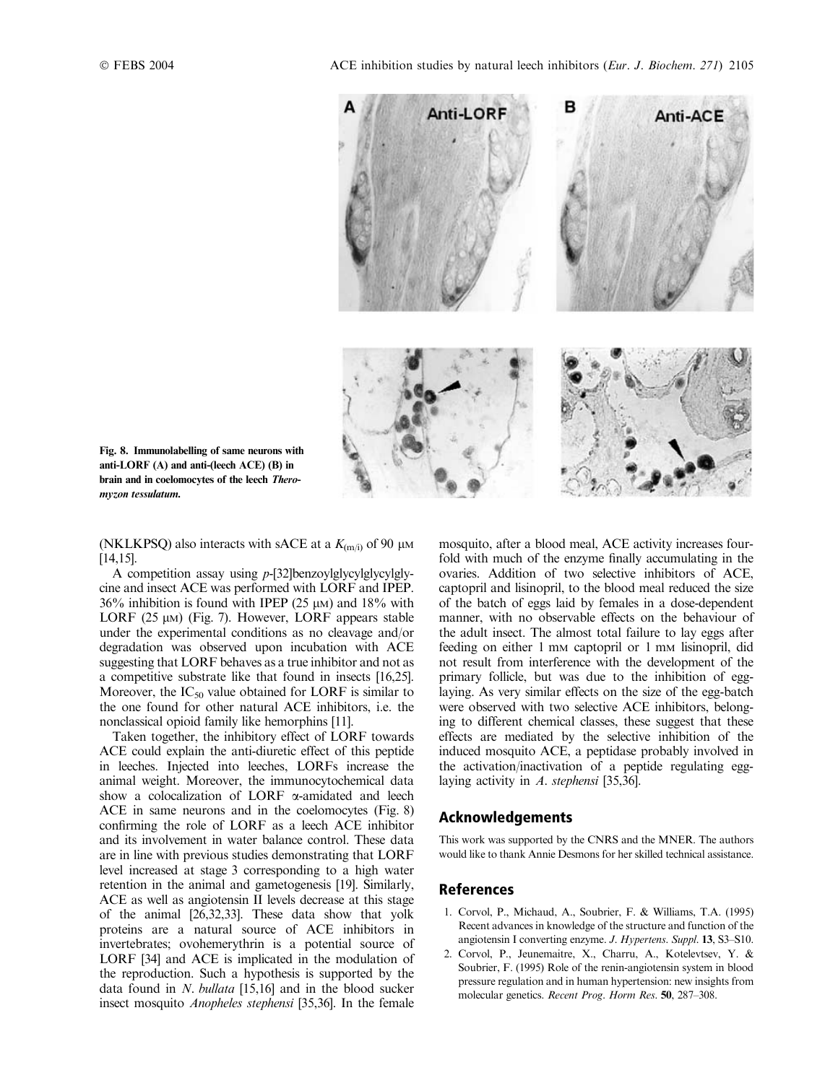

Fig. 8. Immunolabelling of same neurons with anti-LORF (A) and anti-(leech ACE) (B) in brain and in coelomocytes of the leech Theromyzon tessulatum.

(NKLKPSQ) also interacts with sACE at a  $K_{(m/i)}$  of 90  $\mu$ M [14,15].

A competition assay using p-[32]benzoylglycylglycylglycine and insect ACE was performed with LORF and IPEP.  $36\%$  inhibition is found with IPEP (25  $\mu$ M) and 18% with LORF (25  $\mu$ M) (Fig. 7). However, LORF appears stable under the experimental conditions as no cleavage and/or degradation was observed upon incubation with ACE suggesting that LORF behaves as a true inhibitor and not as a competitive substrate like that found in insects [16,25]. Moreover, the  $IC_{50}$  value obtained for LORF is similar to the one found for other natural ACE inhibitors, i.e. the nonclassical opioid family like hemorphins [11].

Taken together, the inhibitory effect of LORF towards ACE could explain the anti-diuretic effect of this peptide in leeches. Injected into leeches, LORFs increase the animal weight. Moreover, the immunocytochemical data show a colocalization of LORF  $\alpha$ -amidated and leech ACE in same neurons and in the coelomocytes (Fig. 8) confirming the role of LORF as a leech ACE inhibitor and its involvement in water balance control. These data are in line with previous studies demonstrating that LORF level increased at stage 3 corresponding to a high water retention in the animal and gametogenesis [19]. Similarly, ACE as well as angiotensin II levels decrease at this stage of the animal [26,32,33]. These data show that yolk proteins are a natural source of ACE inhibitors in invertebrates; ovohemerythrin is a potential source of LORF [34] and ACE is implicated in the modulation of the reproduction. Such a hypothesis is supported by the data found in N. bullata [15,16] and in the blood sucker insect mosquito Anopheles stephensi [35,36]. In the female mosquito, after a blood meal, ACE activity increases fourfold with much of the enzyme finally accumulating in the ovaries. Addition of two selective inhibitors of ACE, captopril and lisinopril, to the blood meal reduced the size of the batch of eggs laid by females in a dose-dependent manner, with no observable effects on the behaviour of the adult insect. The almost total failure to lay eggs after feeding on either 1 mm captopril or 1 mm lisinopril, did not result from interference with the development of the primary follicle, but was due to the inhibition of egglaying. As very similar effects on the size of the egg-batch were observed with two selective ACE inhibitors, belonging to different chemical classes, these suggest that these effects are mediated by the selective inhibition of the induced mosquito ACE, a peptidase probably involved in the activation/inactivation of a peptide regulating egglaying activity in A. stephensi [35,36].

# Acknowledgements

This work was supported by the CNRS and the MNER. The authors would like to thank Annie Desmons for her skilled technical assistance.

# References

- 1. Corvol, P., Michaud, A., Soubrier, F. & Williams, T.A. (1995) Recent advances in knowledge of the structure and function of the angiotensin I converting enzyme. J. Hypertens. Suppl. 13, S3–S10.
- 2. Corvol, P., Jeunemaitre, X., Charru, A., Kotelevtsev, Y. & Soubrier, F. (1995) Role of the renin-angiotensin system in blood pressure regulation and in human hypertension: new insights from molecular genetics. Recent Prog. Horm Res. 50, 287–308.